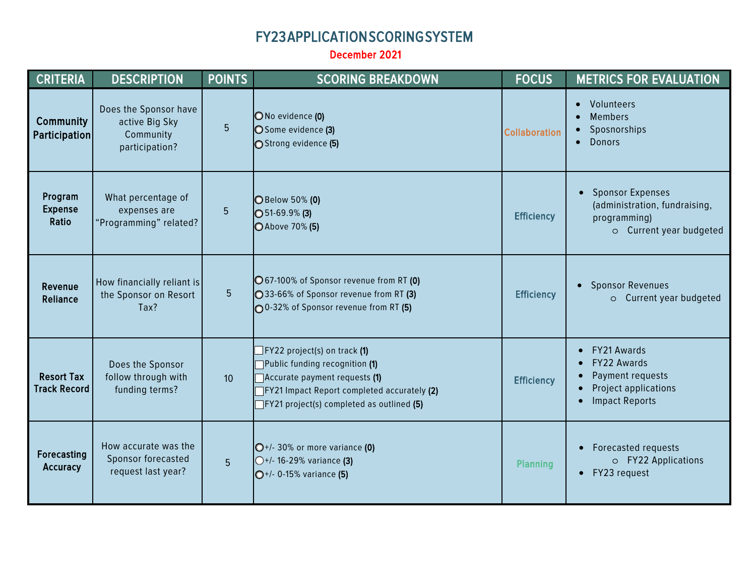## FY23 APPLICATION SCORING SYSTEM

December 2021

| <b>CRITERIA</b>                          | <b>DESCRIPTION</b>                                                     | <b>POINTS</b>  | <b>SCORING BREAKDOWN</b>                                                                                                                                                                                     | <b>FOCUS</b>         | <b>METRICS FOR EVALUATION</b>                                                                                                          |
|------------------------------------------|------------------------------------------------------------------------|----------------|--------------------------------------------------------------------------------------------------------------------------------------------------------------------------------------------------------------|----------------------|----------------------------------------------------------------------------------------------------------------------------------------|
| Community<br><b>Participation</b>        | Does the Sponsor have<br>active Big Sky<br>Community<br>participation? | 5              | O No evidence (0)<br>◯ Some evidence (3)<br>Strong evidence (5)                                                                                                                                              | <b>Collaboration</b> | Volunteers<br><b>Members</b><br>Sposnorships<br>• Donors                                                                               |
| Program<br><b>Expense</b><br>Ratio       | What percentage of<br>expenses are<br>"Programming" related?           | 5              | <b>O</b> Below 50% (0)<br>$\bigcirc$ 51-69.9% (3)<br><b>○</b> Above 70% (5)                                                                                                                                  | <b>Efficiency</b>    | <b>Sponsor Expenses</b><br>(administration, fundraising,<br>programming)<br>o Current year budgeted                                    |
| Revenue<br>Reliance                      | How financially reliant is<br>the Sponsor on Resort<br>Tax?            | 5 <sup>5</sup> | O 67-100% of Sponsor revenue from RT (0)<br>◯33-66% of Sponsor revenue from RT (3)<br>00-32% of Sponsor revenue from RT (5)                                                                                  | <b>Efficiency</b>    | <b>Sponsor Revenues</b><br>$\bullet$<br>o Current year budgeted                                                                        |
| <b>Resort Tax</b><br><b>Track Record</b> | Does the Sponsor<br>follow through with<br>funding terms?              | 10             | $FY22$ project(s) on track (1)<br>Public funding recognition (1)<br>Accurate payment requests (1)<br><b>TFY21 Impact Report completed accurately (2)</b><br>$\top$ FY21 project(s) completed as outlined (5) | <b>Efficiency</b>    | FY21 Awards<br>$\bullet$<br>FY22 Awards<br>$\bullet$<br>Payment requests<br>Project applications<br><b>Impact Reports</b><br>$\bullet$ |
| Forecasting<br>Accuracy                  | How accurate was the<br>Sponsor forecasted<br>request last year?       | 5 <sup>5</sup> | $O+/-30\%$ or more variance (0)<br>$O+/-$ 16-29% variance (3)<br>$O^{+/}$ - 0-15% variance (5)                                                                                                               | <b>Planning</b>      | <b>Forecasted requests</b><br>o FY22 Applications<br>FY23 request<br>$\bullet$                                                         |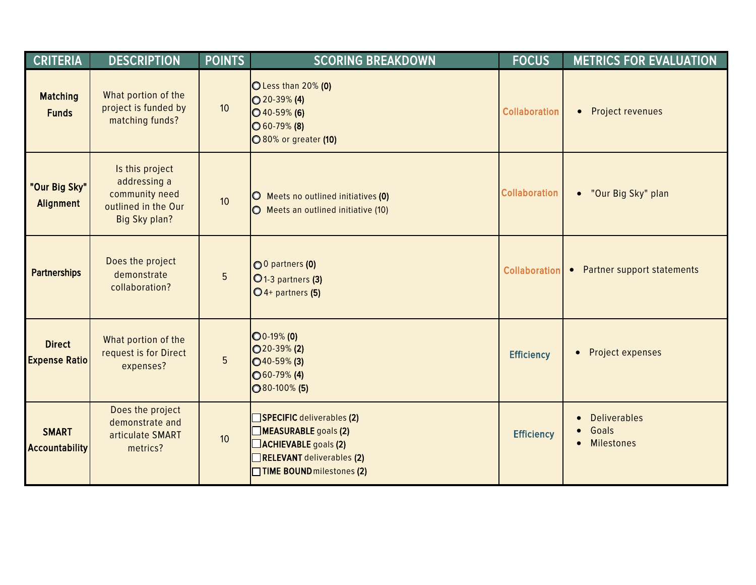| <b>CRITERIA</b>                       | <b>DESCRIPTION</b>                                                                        | <b>POINTS</b>   | <b>SCORING BREAKDOWN</b>                                                                                                                   | <b>FOCUS</b>         | <b>METRICS FOR EVALUATION</b>                     |
|---------------------------------------|-------------------------------------------------------------------------------------------|-----------------|--------------------------------------------------------------------------------------------------------------------------------------------|----------------------|---------------------------------------------------|
| <b>Matching</b><br><b>Funds</b>       | What portion of the<br>project is funded by<br>matching funds?                            | 10 <sup>°</sup> | O Less than 20% (0)<br>$\bigcirc$ 20-39% (4)<br>$\bigcirc$ 40-59% (6)<br>$\bigcirc$ 60-79% (8)<br><b>080% or greater (10)</b>              | <b>Collaboration</b> | Project revenues<br>$\bullet$                     |
| "Our Big Sky"<br>Alignment            | Is this project<br>addressing a<br>community need<br>outlined in the Our<br>Big Sky plan? | 10 <sup>°</sup> | O Meets no outlined initiatives (0)<br>O Meets an outlined initiative (10)                                                                 | <b>Collaboration</b> | • "Our Big Sky" plan                              |
| <b>Partnerships</b>                   | Does the project<br>demonstrate<br>collaboration?                                         | 5               | O 0 partners (0)<br>O <sub>1</sub> -3 partners (3)<br>$O$ 4+ partners (5)                                                                  | <b>Collaboration</b> | • Partner support statements                      |
| <b>Direct</b><br><b>Expense Ratio</b> | What portion of the<br>request is for Direct<br>expenses?                                 | 5               | $\bigcirc$ 0-19% (0)<br>$\bigcirc$ 20-39% (2)<br>$\bigcirc$ 40-59% (3)<br>$1060 - 79\% (4)$<br>$\bigcirc$ 80-100% (5)                      | <b>Efficiency</b>    | Project expenses<br>$\bullet$                     |
| <b>SMART</b><br><b>Accountability</b> | Does the project<br>demonstrate and<br>articulate SMART<br>metrics?                       | 10 <sup>°</sup> | SPECIFIC deliverables (2)<br>MEASURABLE goals (2)<br><b>ACHIEVABLE</b> goals (2)<br>RELEVANT deliverables (2)<br>TIME BOUND milestones (2) | <b>Efficiency</b>    | <b>Deliverables</b><br>Goals<br><b>Milestones</b> |